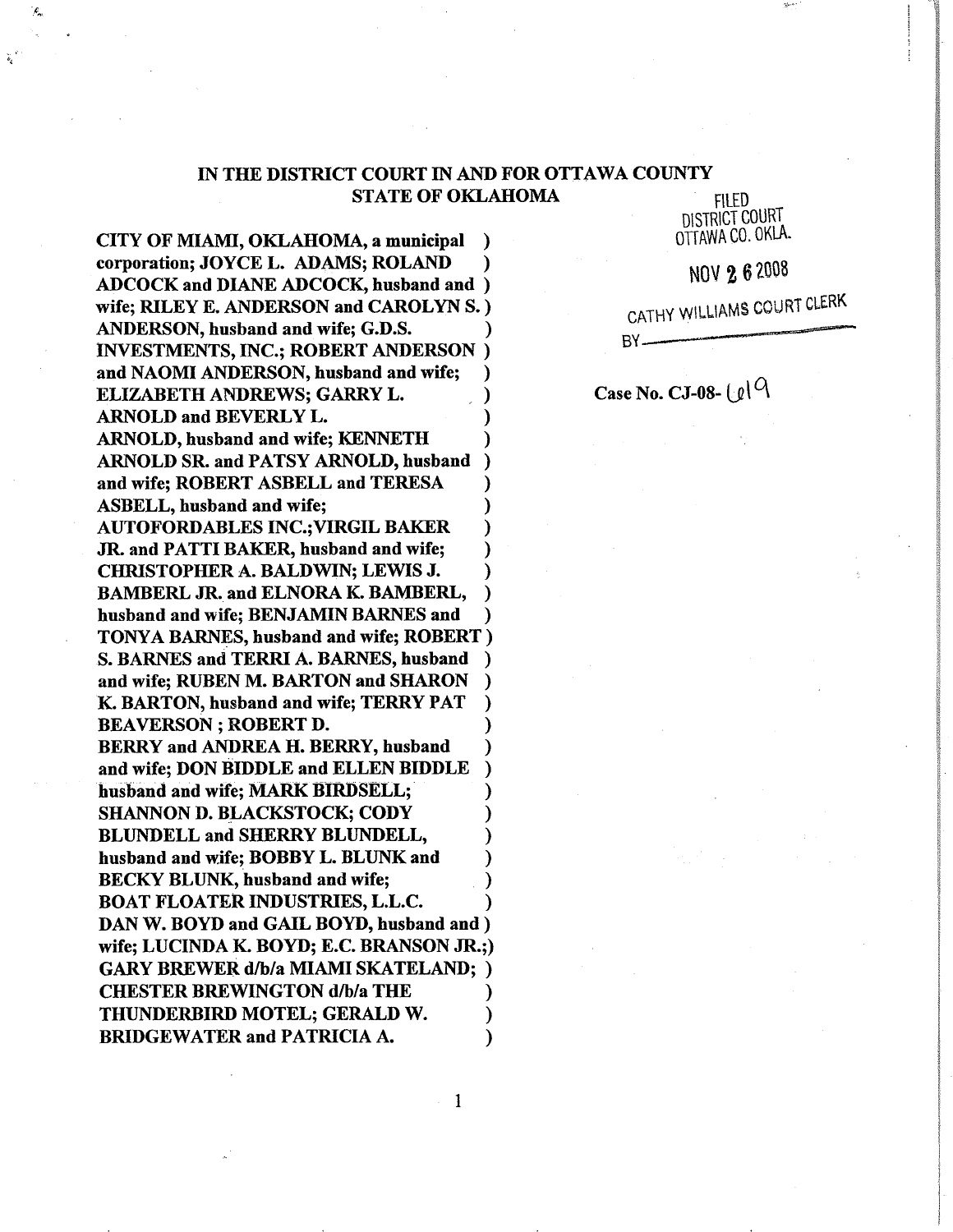# IN THE DISTRICT COURT IN AND FOR OTTAWA COUNTY **STATE OF OKLAHOMA**

**FILED** DISTRICT COURT OTTAWA CO. OKLA.

NOV 2 6 2008

CATHY WILLIAMS COURT CLERK

BY-

Case No. CJ-08- $\lfloor \ell \rfloor$ <sup>Q</sup>

CITY OF MIAMI, OKLAHOMA, a municipal € corporation; JOYCE L. ADAMS; ROLAND ADCOCK and DIANE ADCOCK, husband and ) wife; RILEY E. ANDERSON and CAROLYN S.) ANDERSON, husband and wife; G.D.S. **INVESTMENTS, INC.; ROBERT ANDERSON**) and NAOMI ANDERSON, husband and wife; ELIZABETH ANDREWS; GARRY L. ARNOLD and BEVERLY L. ARNOLD, husband and wife; KENNETH **ARNOLD SR. and PATSY ARNOLD, husband** and wife; ROBERT ASBELL and TERESA **ASBELL**, husband and wife; **AUTOFORDABLES INC.; VIRGIL BAKER** JR. and PATTI BAKER, husband and wife; **CHRISTOPHER A. BALDWIN; LEWIS J.** BAMBERL JR. and ELNORA K. BAMBERL, husband and wife; BENJAMIN BARNES and TONYA BARNES, husband and wife; ROBERT) S. BARNES and TERRI A. BARNES, husband and wife; RUBEN M. BARTON and SHARON K. BARTON, husband and wife; TERRY PAT **BEAVERSON**; ROBERT D. BERRY and ANDREA H. BERRY, husband and wife; DON BIDDLE and ELLEN BIDDLE husband and wife; MARK BIRDSELL; **SHANNON D. BLACKSTOCK; CODY** BLUNDELL and SHERRY BLUNDELL, husband and wife; BOBBY L. BLUNK and **BECKY BLUNK, husband and wife; BOAT FLOATER INDUSTRIES, L.L.C.** DAN W. BOYD and GAIL BOYD, husband and ) wife; LUCINDA K. BOYD; E.C. BRANSON JR.;) **GARY BREWER d/b/a MIAMI SKATELAND; ) CHESTER BREWINGTON d/b/a THE** THUNDERBIRD MOTEL; GERALD W. **BRIDGEWATER and PATRICIA A.** 

Æ,

 $\mathbf{1}$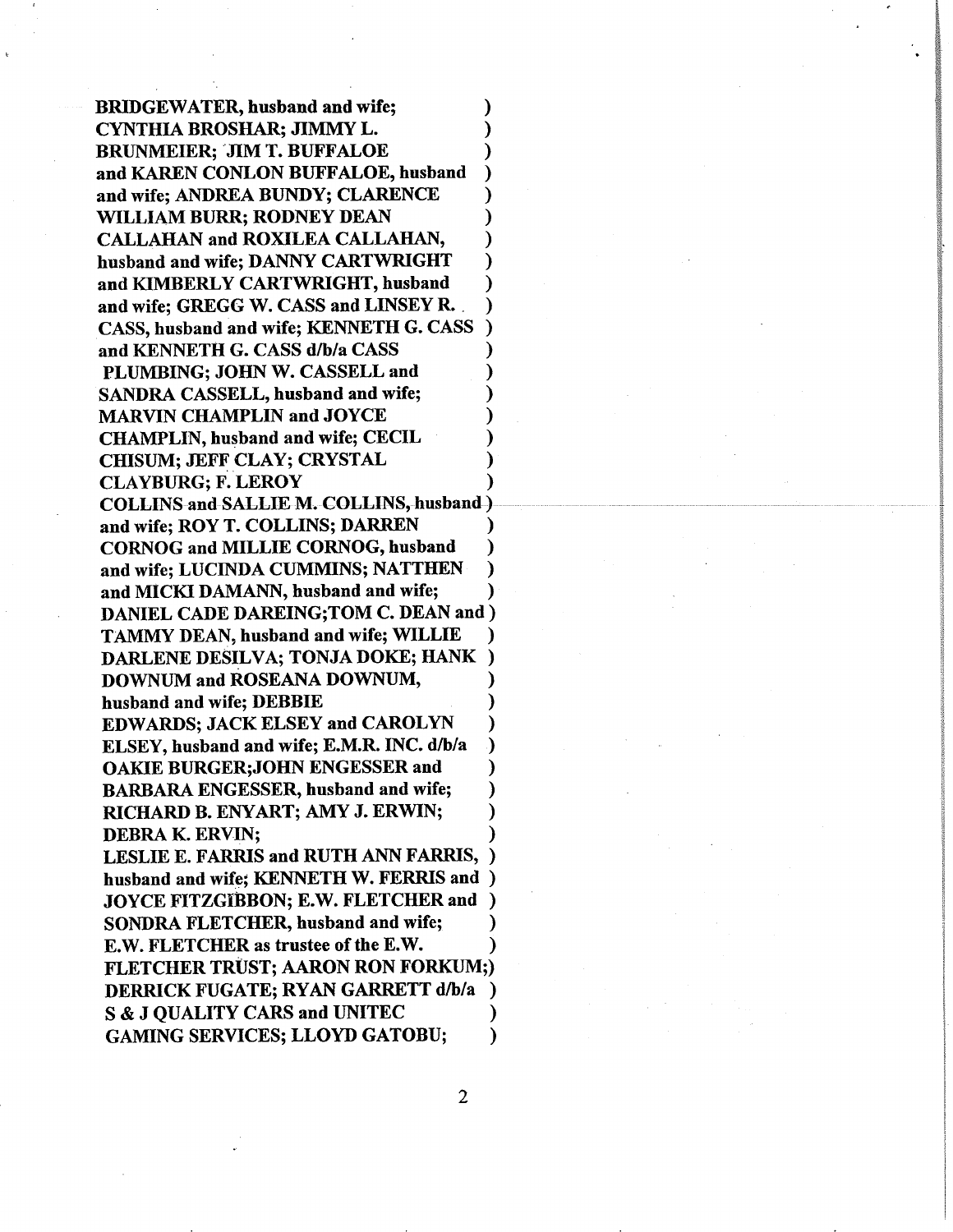**BRIDGEWATER, husband and wife;** CYNTHIA BROSHAR; JIMMY L. **BRUNMEIER: JIM T. BUFFALOE** and KAREN CONLON BUFFALOE, husband and wife; ANDREA BUNDY; CLARENCE WILLIAM BURR; RODNEY DEAN CALLAHAN and ROXILEA CALLAHAN, husband and wife; DANNY CARTWRIGHT and KIMBERLY CARTWRIGHT, husband and wife; GREGG W. CASS and LINSEY R. CASS, husband and wife; KENNETH G. CASS and KENNETH G. CASS d/b/a CASS PLUMBING; JOHN W. CASSELL and SANDRA CASSELL, husband and wife; **MARVIN CHAMPLIN and JOYCE CHAMPLIN, husband and wife; CECIL CHISUM; JEFF CLAY; CRYSTAL CLAYBURG; F. LEROY COLLINS and SALLIE M. COLLINS, husband.)** and wife; ROY T. COLLINS; DARREN **CORNOG and MILLIE CORNOG, husband** and wife; LUCINDA CUMMINS; NATTHEN and MICKI DAMANN, husband and wife; DANIEL CADE DAREING; TOM C. DEAN and ) **TAMMY DEAN, husband and wife; WILLIE** DARLENE DESILVA; TONJA DOKE; HANK DOWNUM and ROSEANA DOWNUM, husband and wife; DEBBIE **EDWARDS; JACK ELSEY and CAROLYN** ELSEY, husband and wife; E.M.R. INC. d/b/a **OAKIE BURGER; JOHN ENGESSER and BARBARA ENGESSER, husband and wife;** RICHARD B. ENYART; AMY J. ERWIN; **DEBRA K. ERVIN: LESLIE E. FARRIS and RUTH ANN FARRIS,** husband and wife; KENNETH W. FERRIS and ) JOYCE FITZGIBBON; E.W. FLETCHER and **SONDRA FLETCHER, husband and wife;** E.W. FLETCHER as trustee of the E.W. **FLETCHER TRÜST; AARON RON FORKUM;)** DERRICK FUGATE; RYAN GARRETT d/b/a  $\lambda$ **S & J OUALITY CARS and UNITEC GAMING SERVICES; LLOYD GATOBU;** ℩

 $\overline{2}$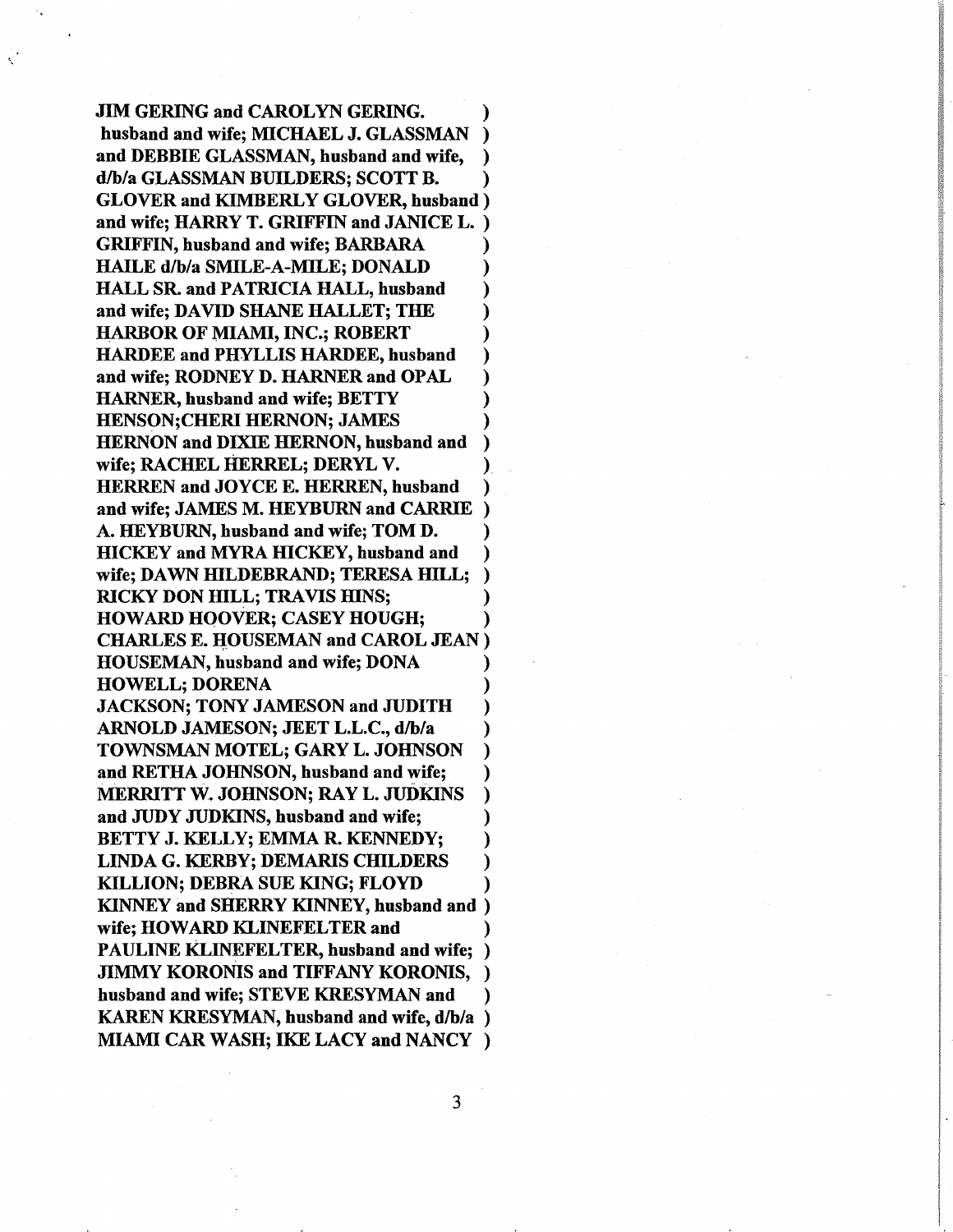**JIM GERING and CAROLYN GERING.** husband and wife; MICHAEL J. GLASSMAN  $\lambda$ and DEBBIE GLASSMAN, husband and wife, d/b/a GLASSMAN BUILDERS; SCOTT B. ) **GLOVER and KIMBERLY GLOVER, husband**) and wife; HARRY T. GRIFFIN and JANICE L. **GRIFFIN, husband and wife; BARBARA HAILE d/b/a SMILE-A-MILE; DONALD** HALL SR. and PATRICIA HALL, husband and wife; DAVID SHANE HALLET; THE **HARBOR OF MIAMI, INC.; ROBERT HARDEE and PHYLLIS HARDEE, husband** and wife; RODNEY D. HARNER and OPAL **HARNER, husband and wife; BETTY HENSON; CHERI HERNON; JAMES HERNON and DIXIE HERNON, husband and** wife; RACHEL HERREL; DERYL V. **HERREN and JOYCE E. HERREN, husband** and wife: JAMES M. HEYBURN and CARRIE A. HEYBURN, husband and wife; TOM D. **HICKEY** and MYRA HICKEY, husband and wife; DAWN HILDEBRAND; TERESA HILL; **RICKY DON HILL; TRAVIS HINS; HOWARD HOOVER; CASEY HOUGH; CHARLES E. HOUSEMAN and CAROL JEAN) HOUSEMAN, husband and wife; DONA** HOWELL; DORENA **JACKSON; TONY JAMESON and JUDITH** ARNOLD JAMESON; JEET L.L.C., d/b/a TOWNSMAN MOTEL; GARY L. JOHNSON and RETHA JOHNSON, husband and wife; MERRITT W. JOHNSON; RAY L. JUDKINS and JUDY JUDKINS, husband and wife; BETTY J. KELLY; EMMA R. KENNEDY; **LINDA G. KERBY; DEMARIS CHILDERS KILLION; DEBRA SUE KING; FLOYD KINNEY and SHERRY KINNEY, husband and )** wife: HOWARD KLINEFELTER and PAULINE KLINEFELTER, husband and wife; ) **JIMMY KORONIS and TIFFANY KORONIS,** husband and wife; STEVE KRESYMAN and KAREN KRESYMAN, husband and wife, d/b/a) **MIAMI CAR WASH; IKE LACY and NANCY**)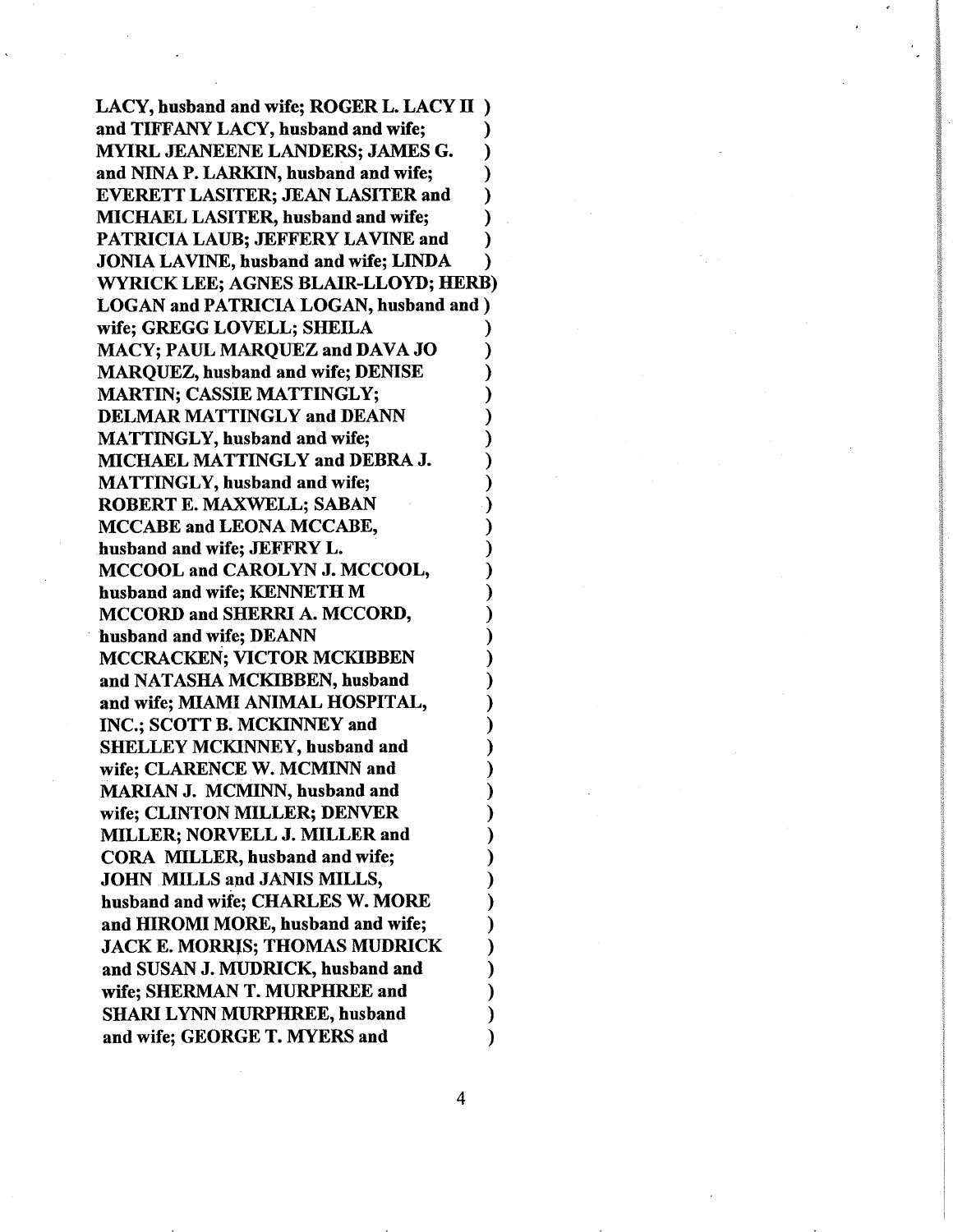LACY, husband and wife; ROGER L. LACY II) and TIFFANY LACY, husband and wife; ⟩ **MYIRL JEANEENE LANDERS; JAMES G.**  $\lambda$ and NINA P. LARKIN, husband and wife; **EVERETT LASITER; JEAN LASITER and** λ **MICHAEL LASITER, husband and wife:** PATRICIA LAUB; JEFFERY LAVINE and **JONIA LAVINE, husband and wife; LINDA** ℩ WYRICK LEE; AGNES BLAIR-LLOYD; HERB) **LOGAN and PATRICIA LOGAN, husband and )** wife: GREGG LOVELL: SHEILA MACY; PAUL MARQUEZ and DAVA JO **MARQUEZ, husband and wife; DENISE MARTIN; CASSIE MATTINGLY; DELMAR MATTINGLY and DEANN MATTINGLY, husband and wife;** MICHAEL MATTINGLY and DEBRA J. **MATTINGLY, husband and wife;** ROBERT E. MAXWELL; SABAN MCCABE and LEONA MCCABE, husband and wife; JEFFRY L. MCCOOL and CAROLYN J. MCCOOL, husband and wife; KENNETH M **MCCORD and SHERRI A. MCCORD,** husband and wife; DEANN **MCCRACKEN; VICTOR MCKIBBEN** and NATASHA MCKIBBEN, husband and wife; MIAMI ANIMAL HOSPITAL, INC.; SCOTT B. MCKINNEY and **SHELLEY MCKINNEY, husband and** wife; CLARENCE W. MCMINN and **MARIAN J. MCMINN, husband and** wife: CLINTON MILLER; DENVER MILLER; NORVELL J. MILLER and CORA MILLER, husband and wife; **JOHN MILLS and JANIS MILLS,** husband and wife; CHARLES W. MORE and HIROMI MORE, husband and wife; **JACK E. MORRIS; THOMAS MUDRICK** and SUSAN J. MUDRICK, husband and wife: SHERMAN T. MURPHREE and **SHARI LYNN MURPHREE, husband** and wife; GEORGE T. MYERS and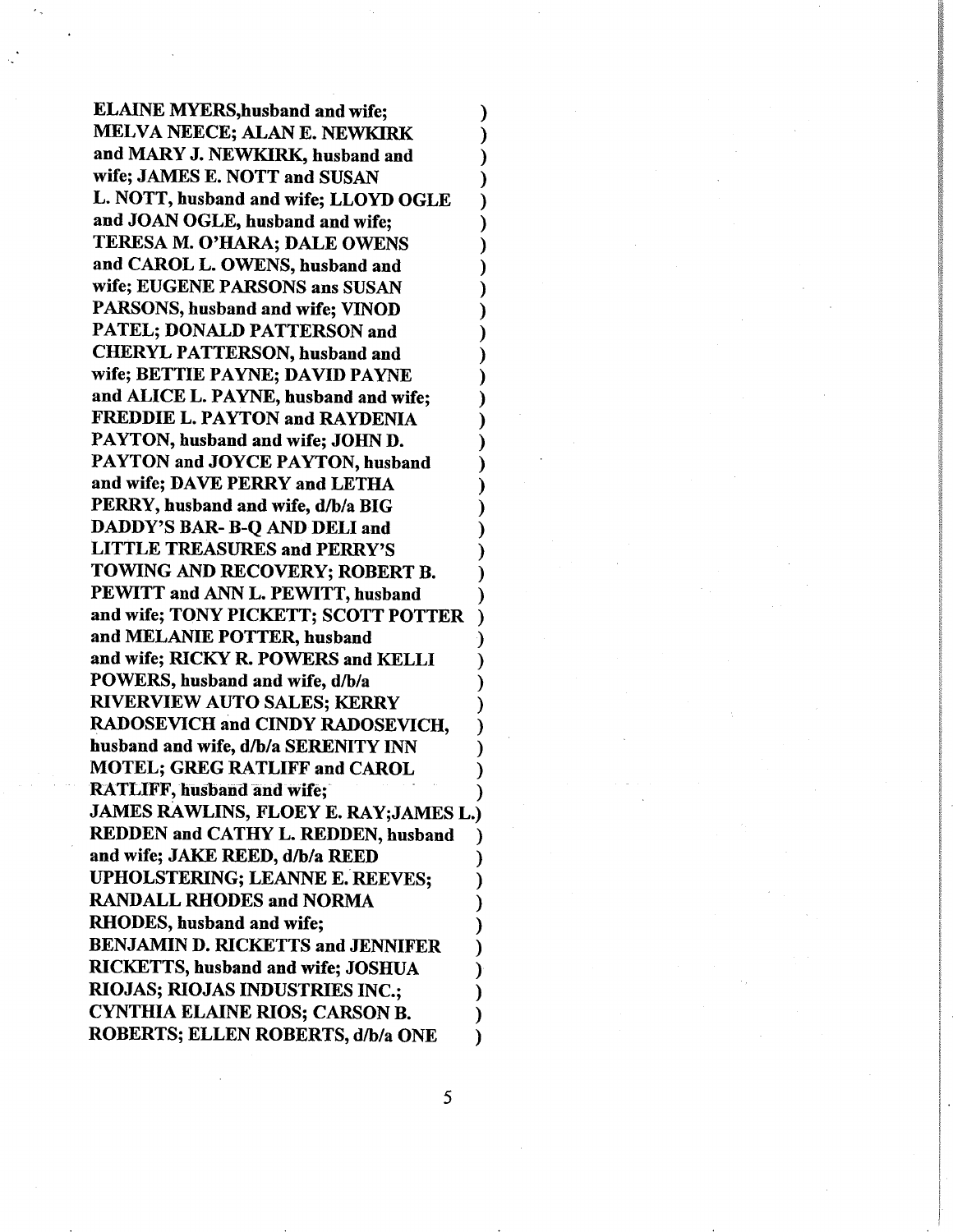**ELAINE MYERS, husband and wife;** MELVA NEECE; ALAN E. NEWKIRK and MARY J. NEWKIRK, husband and wife; JAMES E. NOTT and SUSAN L. NOTT, husband and wife: LLOYD OGLE and JOAN OGLE, husband and wife: TERESA M. O'HARA; DALE OWENS and CAROL L. OWENS, husband and wife; EUGENE PARSONS ans SUSAN PARSONS, husband and wife; VINOD **PATEL; DONALD PATTERSON and CHERYL PATTERSON, husband and** wife; BETTIE PAYNE; DAVID PAYNE and ALICE L. PAYNE, husband and wife; **FREDDIE L. PAYTON and RAYDENIA** PAYTON, husband and wife; JOHN D. PAYTON and JOYCE PAYTON, husband and wife; DAVE PERRY and LETHA PERRY, husband and wife, d/b/a BIG DADDY'S BAR- B-Q AND DELI and **LITTLE TREASURES and PERRY'S** TOWING AND RECOVERY; ROBERT B. PEWITT and ANN L. PEWITT, husband and wife; TONY PICKETT; SCOTT POTTER and MELANIE POTTER, husband and wife; RICKY R. POWERS and KELLI POWERS, husband and wife, d/b/a **RIVERVIEW AUTO SALES; KERRY** RADOSEVICH and CINDY RADOSEVICH, husband and wife, d/b/a SERENITY INN **MOTEL; GREG RATLIFF and CAROL RATLIFF, husband and wife: JAMES RAWLINS, FLOEY E. RAY;JAMES L.)** REDDEN and CATHY L. REDDEN, husband and wife; JAKE REED, d/b/a REED **UPHOLSTERING; LEANNE E. REEVES: RANDALL RHODES and NORMA** RHODES, husband and wife; **BENJAMIN D. RICKETTS and JENNIFER** RICKETTS, husband and wife; JOSHUA **RIOJAS; RIOJAS INDUSTRIES INC.: CYNTHIA ELAINE RIOS; CARSON B.** ROBERTS; ELLEN ROBERTS, d/b/a ONE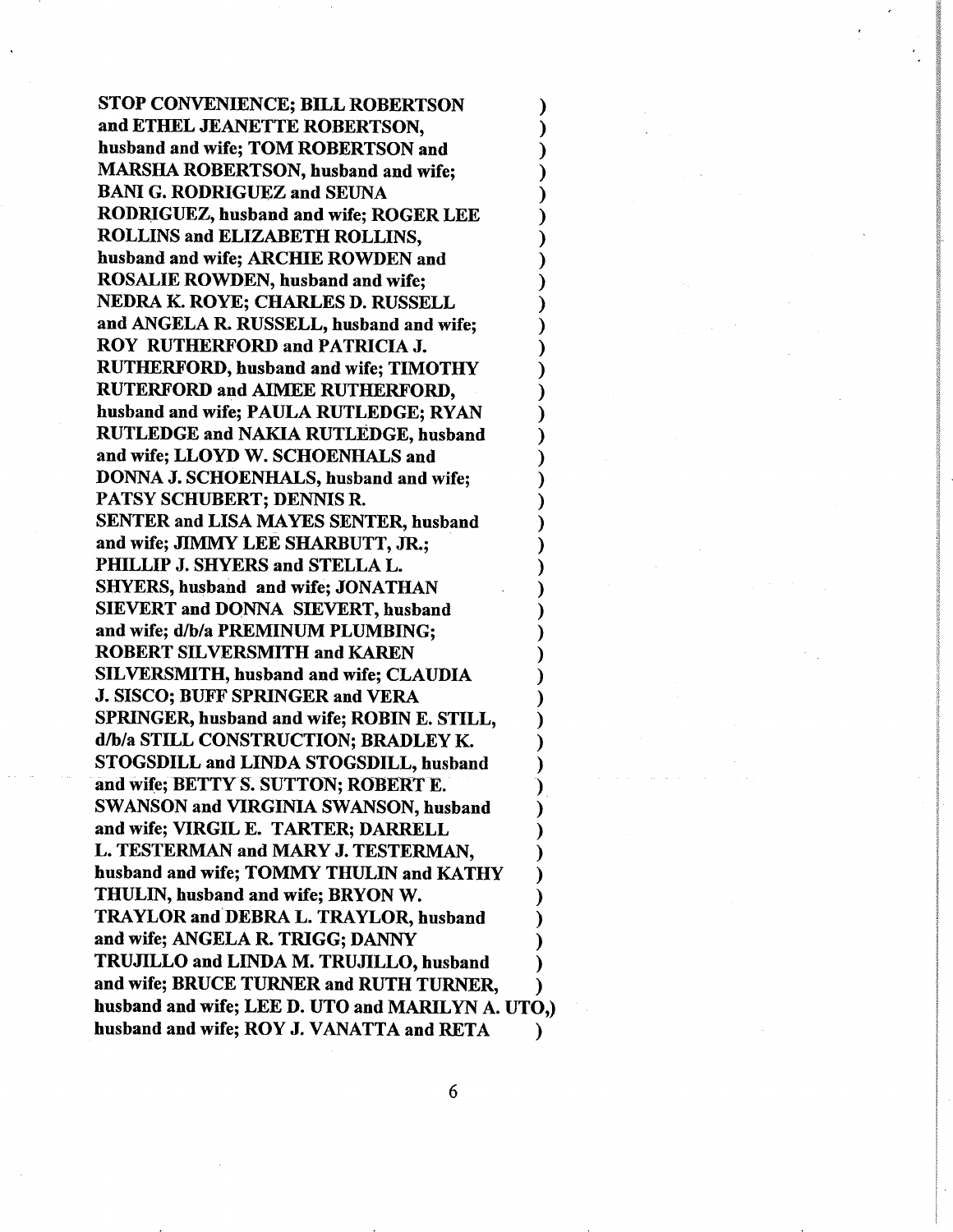STOP CONVENIENCE; BILL ROBERTSON and ETHEL JEANETTE ROBERTSON, husband and wife; TOM ROBERTSON and MARSIIA ROBERTSON, husband and wife; BANI G. RODRIGUEZ and SEUNA RODRIGUEZ, husband and wife; ROGER LEE ROLLINS and ELIZABETH ROLLINS. husband and wife; ARCHIE ROWDEN and ROSALIE ROWDEN, husband and wife; NEDRA K. ROYE; CHARLES D. RUSSELL ) and ANGELA R. RUSSELL, husband and wife; ) ROY RUTHERFORD and PATRICIA J. RUTHERFORD, husband and wife; TIMOTHY RUTERFORD and AIMEE RUTHERFORD, husband and wife; PAULA RUTLEDGE; RYAN RUTLEDGE and NAKIA RUTLEDGE, husband ) and wife; LLOYD W. SCHOENHALS and DONNA J. SCHOENHALS, husband and wife; PATSY SCHUBERT; DENNIS R. ) SENTER and LISA MAYES SENTER, husband ) and wife; JIMMY LEE SHARBUTT, JR.; ) PHILLIP J. SHYERS and STELLA L. SHYERS, husband and wife: JONATHAN SIEVERT and DONNA SIEVERT, husband and wife; d/b/a PREMINUM PLUMBING; ) ROBERT SILVERSMITH and KAREN SILVERSMITH, husband and wife; CLAUDIA ) **J. SISCO; BUFF SPRINGER and VERA** SPRINGER, husband and wife; ROBIN E. STILL, ) d/b/a STILL CONSTRUCTION; BRADLEY K. ) STOGSDILL and LINDA STOGSDILL, husband ) and wife; BETTY S. SUTTON; ROBERT E. SWANSON and VIRGINIA SWANSON, husband and wife; VIRGIL E. TARTER; DARRELL L. TESTERMAN and MARY J. TESTERMAN, husband and wife; TOMMY THULIN and KATHY THULIN, husband and wife; BRYON W. ) TRAYLOR and DEBRA L. TRAYLOR, husband ) and wife; ANGELA R. TRIGG; DANNY TRUJILLO and LINDA M. TRUJILLO, husband ) and wife; BRUCE TURNER and RUTH TURNER, husband and wife; LEE D. UTO and MARILYN A. UTO,) husband and wife; ROY J. VANATTA and RETA ) ) ) ) ) )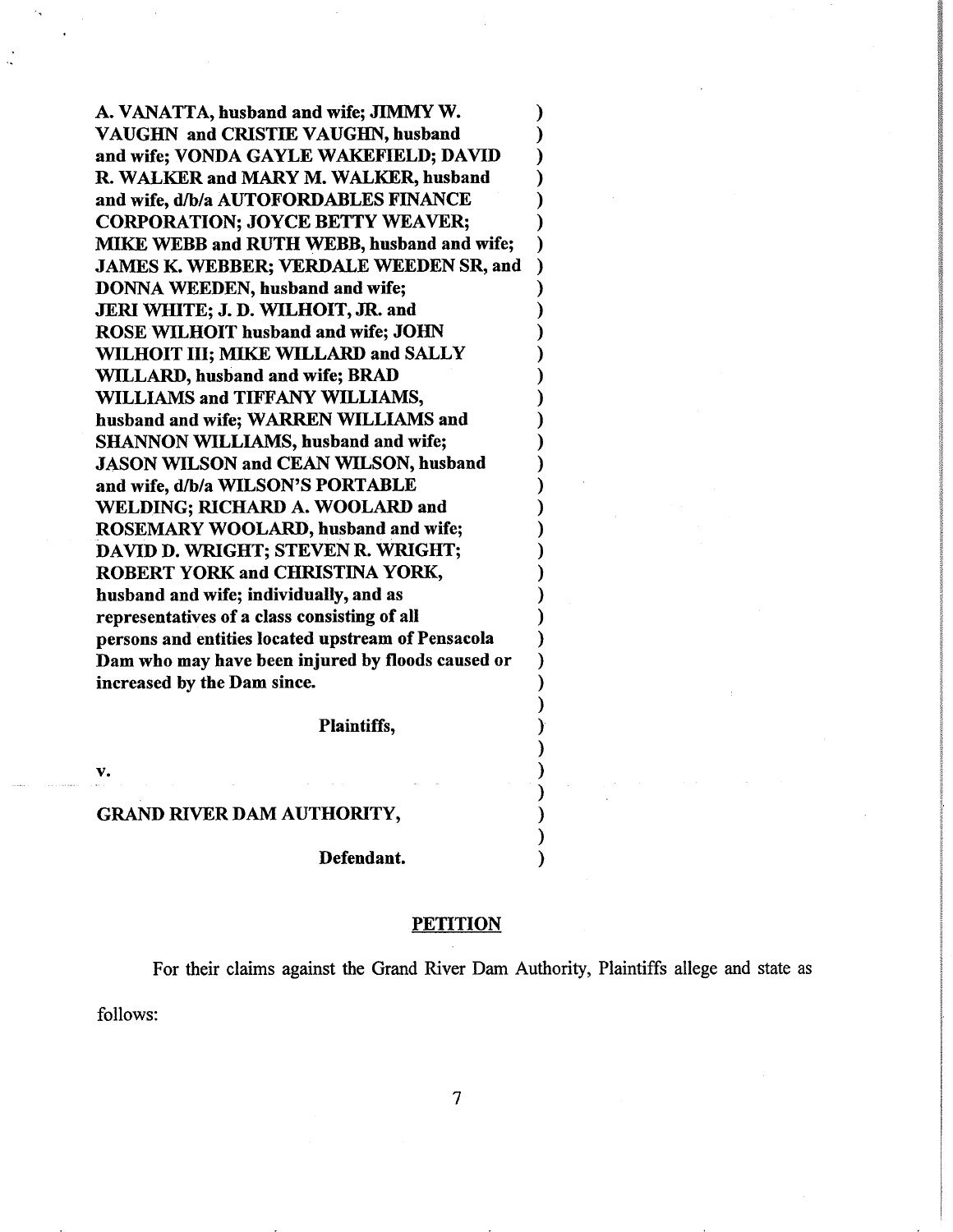A. VANATTA, husband and wife; JIMMY W. VAUGHN and CRISTIE VAUGHN, husband and wife; VONDA GAYLE WAKEFIELD; DAVID R. WALKER and MARY M. WALKER, husband and wife, d/b/a AUTOFORDABLES FINANCE CORPORATION; JOYCE BETTY WEAVER; MIKE WEBB and RUTH WEBB, husband and wife; JAMES K. WEBBER; VERDALE WEEDEN SR, and DONNA WEEDEN, husband and wife; JERI WHITE; J. D. \MLHOIT, JR. and ROSE WILHOIT husband and wife; JOHN WILHOIT III; MIKE WILLARD and SALLY WILLARD, husband and wife; BRAD WILLIAMS and TIFFANY WILLIAMS, husband and wife; WARREN WILLIAMS and SHANNON WILLIAMS, husband and wife; JASON WILSON and CEAN WILSON, husband and wife, d/b/a WILSON'S PORTABLE WELDING; RICHARD A. WOOLARD and ROSEMARY WOOLARI), husband and wife; DAVID D. WRIGHT; STEVEN R. WRIGHT; ROBERT YORK and CHRISTINA YORK, husband and wife; individually, and as representatives of a class consisting of all persons and entities located upstream of Pensacola Dam who may have been injured by floods caused or increased by the Dam since.

Plaintiffs,

v.

#### GRAND RIVER DAM AUTHORITY,

Defendant.

#### **PETITION**

For their claims against the Grand River Dam Authority, Plaintiffs allege and state as

follows: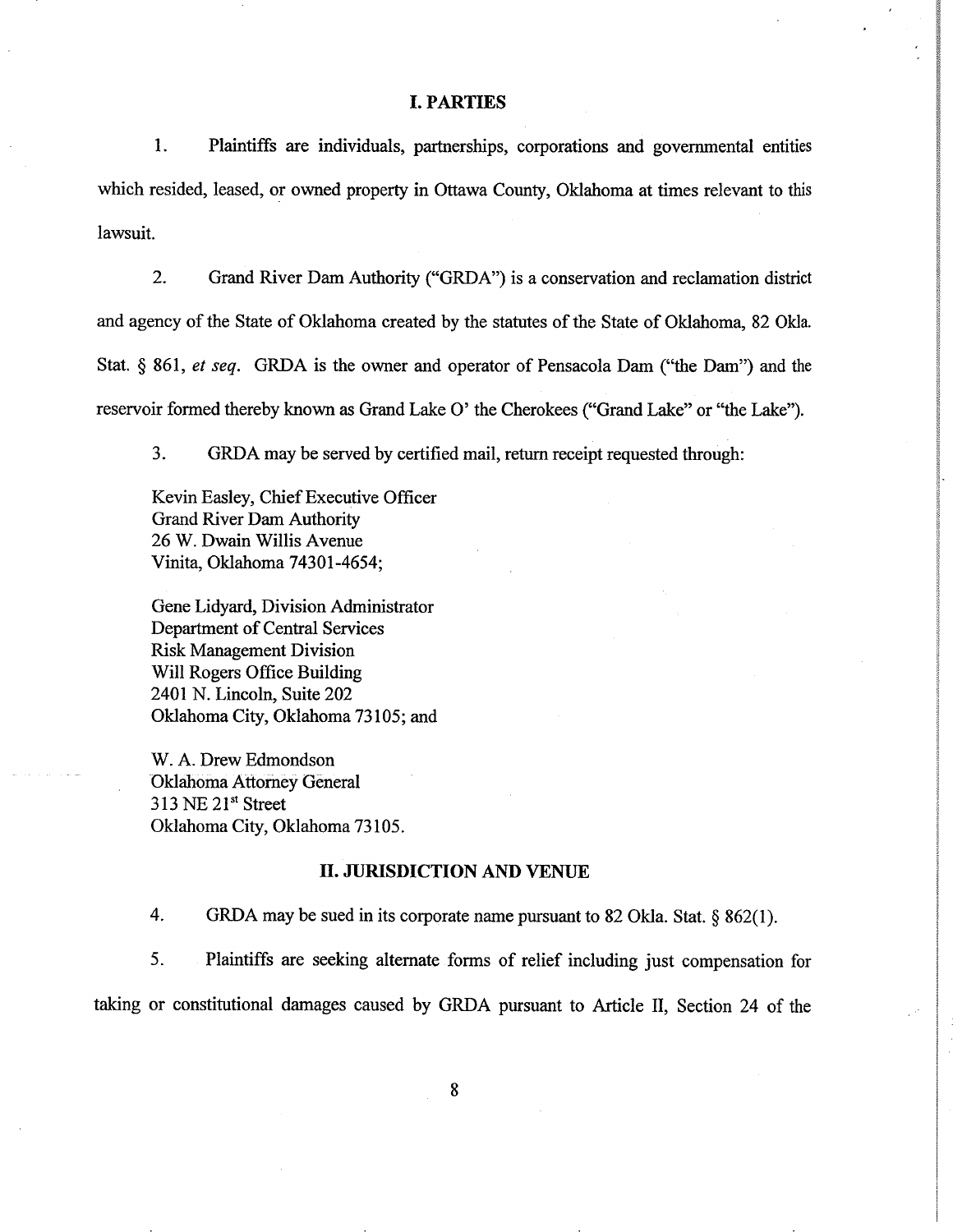### I. PARTIES

1. Plaintiffs are individuals, partnerships, corporations and governmental entities which resided, leased, or owned property in Ottawa County, Oklahoma at times relevant to this lawsuit.

2. Grand River Dam Authority ("GRDA") is a conservation and reclamation district and agency of the State of Oklahoma created by the statutes of the State of Oklahoma, 82 Okla. Stat. \$ 861, et seq. GRDA is the owner and operator of Pensacola Dam ("the Dam") and the reservoir formed thereby known as Grand Lake O' the Cherokees ("Grand Lake" or "the Lake').

3. GRDA may be served by certified mail, return receipt requested through:

Kevin Easley, Chief Executive Officer Grand River Dam Authority 26 W. Dwain Willis Avenue Vinita, Oklahoma 74301-4654;

Gene Lidyard, Division Administrator Department of Central Services Risk Management Division Will Rogers Office Building 2401 N. Lincoln, Suite 202 Oklahoma City, Oklahoma 73105; and

W. A. Drew Edmondson Oklahoma Attorney Géneral 313 NE 21st Street Oklahoma City, Oklahoma 73105.

#### II. JURISDICTION AND VENUE

4. GRDA may be sued in its corporate name pursuant to 82 Okla. Stat.  $\S$  862(1).

5. Plaintiffs are seeking altemate forms of relief including just compensation for

taking or constitutional damages caused by GRDA pursuant to Article II, Section 24 of the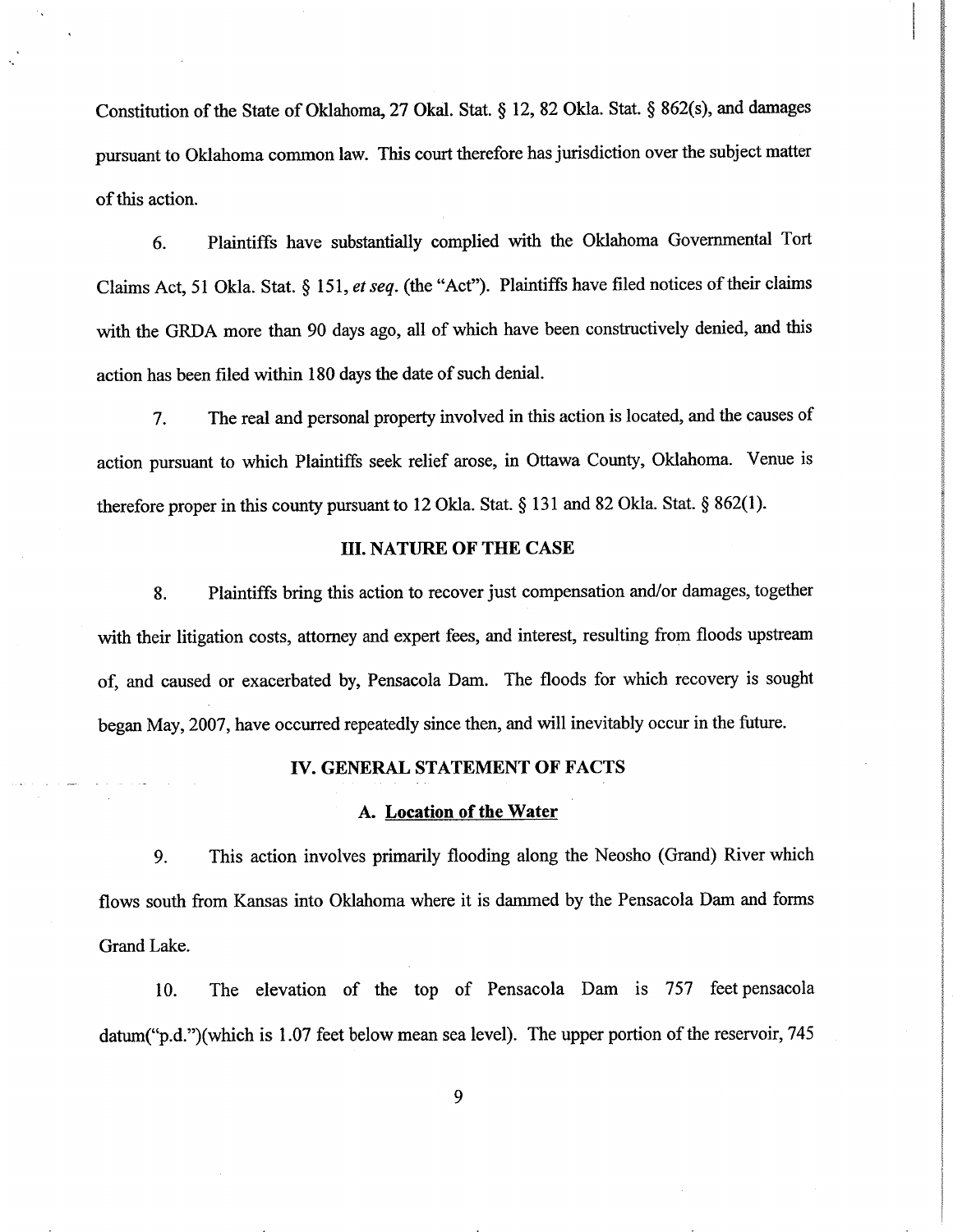Constitution of the State of Oklahoma, 27 Okal. Stat. § 12, 82 Okla. Stat. § 862(s), and damages pursuant to Oklahoma common law. This court therefore has jurisdiction over the subject matter of this action.

6. Plaintiffs have substantialty complied with the Oklahoma Govemmental Tort Claims Act, 51 Okla. Stat. \$ l5l, et seq. (the "Act"). Plaintiffs have filed notices of their claims with the GRDA more than 90 days ago, all of which have been constructively denied, and this action has been filed within 180 days the date of such denial.

7. The real and personal property involved in this action is located, and the causes of action pursuant to which Plaintiffs seek relief arose, in Ottawa County, Oklahoma. Venue is therefore proper in this county pursuant to 12 Okla. Stat. § 131 and 82 Okla. Stat. § 862(1).

# III. NATURE OF THE CASE

8. Plaintiffs bring this action to recover just compensation and/or damages, together with their litigation costs, attorney and expert fees, and interest, resulting from floods upstream of, and caused or exacerbated by, Pensacola Dam. The floods for which recovery is sought began May,2007, have occurred repeatedly since then, and will inevitably occur in the future.

#### IV. GENERAL STATEMENT OF FACTS

## A. Location of the Water

9. This action involves primarily flooding along the Neosho (Grand) Riverwhich flows south from Kansas into Oklahoma where it is dammed by the Pensacola Dam and forms Grand Lake.

10. The elevation of the top of Pensacola Dam is 757 feet pensacola datum("p.d.")(which is 1.07 feet below mean sea level). The upper portion of the reservoir, 745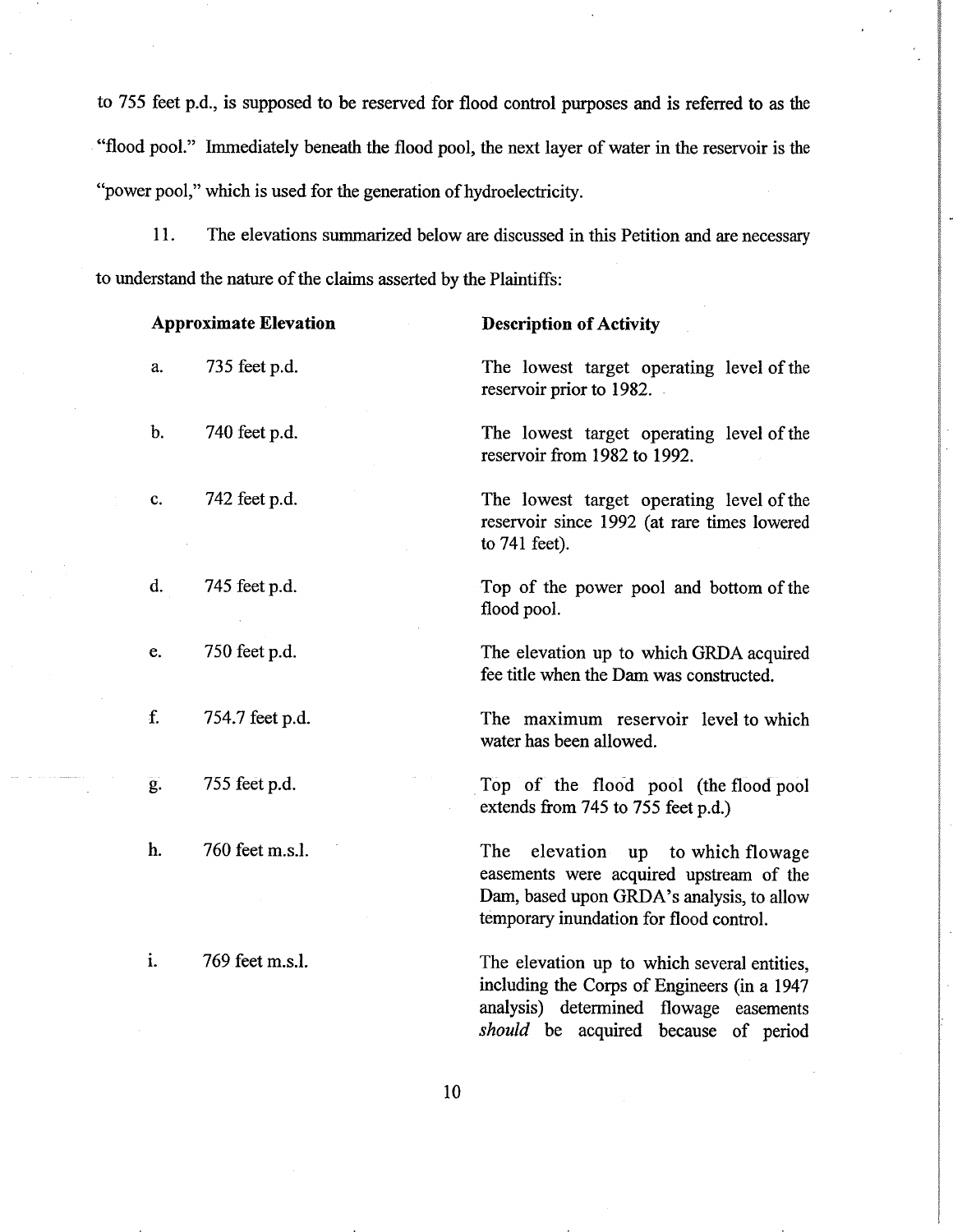to 755 feet p.d., is supposed to be reserved for flood control purposes and is referred to as the "flood pool." Immediately beneath the flood pool, the next layer of water in the reservoir is the "power pool," which is used for the generation of hydroelectricity.

<sup>I</sup>l. The elevations summarized below are discussed in this Petition and are necessarv to understand the nature of the claims asserted by the Plaintiffs:

| <b>Approximate Elevation</b> |                 | <b>Description of Activity</b>                                                                                                                                                         |
|------------------------------|-----------------|----------------------------------------------------------------------------------------------------------------------------------------------------------------------------------------|
| a.                           | 735 feet p.d.   | The lowest target operating level of the<br>reservoir prior to 1982.                                                                                                                   |
| b.                           | 740 feet p.d.   | The lowest target operating level of the<br>reservoir from 1982 to 1992.                                                                                                               |
| c.                           | 742 feet p.d.   | The lowest target operating level of the<br>reservoir since 1992 (at rare times lowered<br>to 741 feet).                                                                               |
| d.                           | 745 feet p.d.   | Top of the power pool and bottom of the<br>flood pool.                                                                                                                                 |
| e.                           | 750 feet p.d.   | The elevation up to which GRDA acquired<br>fee title when the Dam was constructed.                                                                                                     |
| f.                           | 754.7 feet p.d. | The maximum reservoir level to which<br>water has been allowed.                                                                                                                        |
| $\overline{g}$ .             | 755 feet p.d.   | Top of the flood pool (the flood pool<br>extends from 745 to 755 feet p.d.)                                                                                                            |
| h.                           | 760 feet m.s.l. | elevation up to which flowage<br>The<br>easements were acquired upstream of the<br>Dam, based upon GRDA's analysis, to allow<br>temporary inundation for flood control.                |
| i.                           | 769 feet m.s.l. | The elevation up to which several entities,<br>including the Corps of Engineers (in a 1947<br>analysis) determined flowage easements<br><i>should</i> be acquired because<br>of period |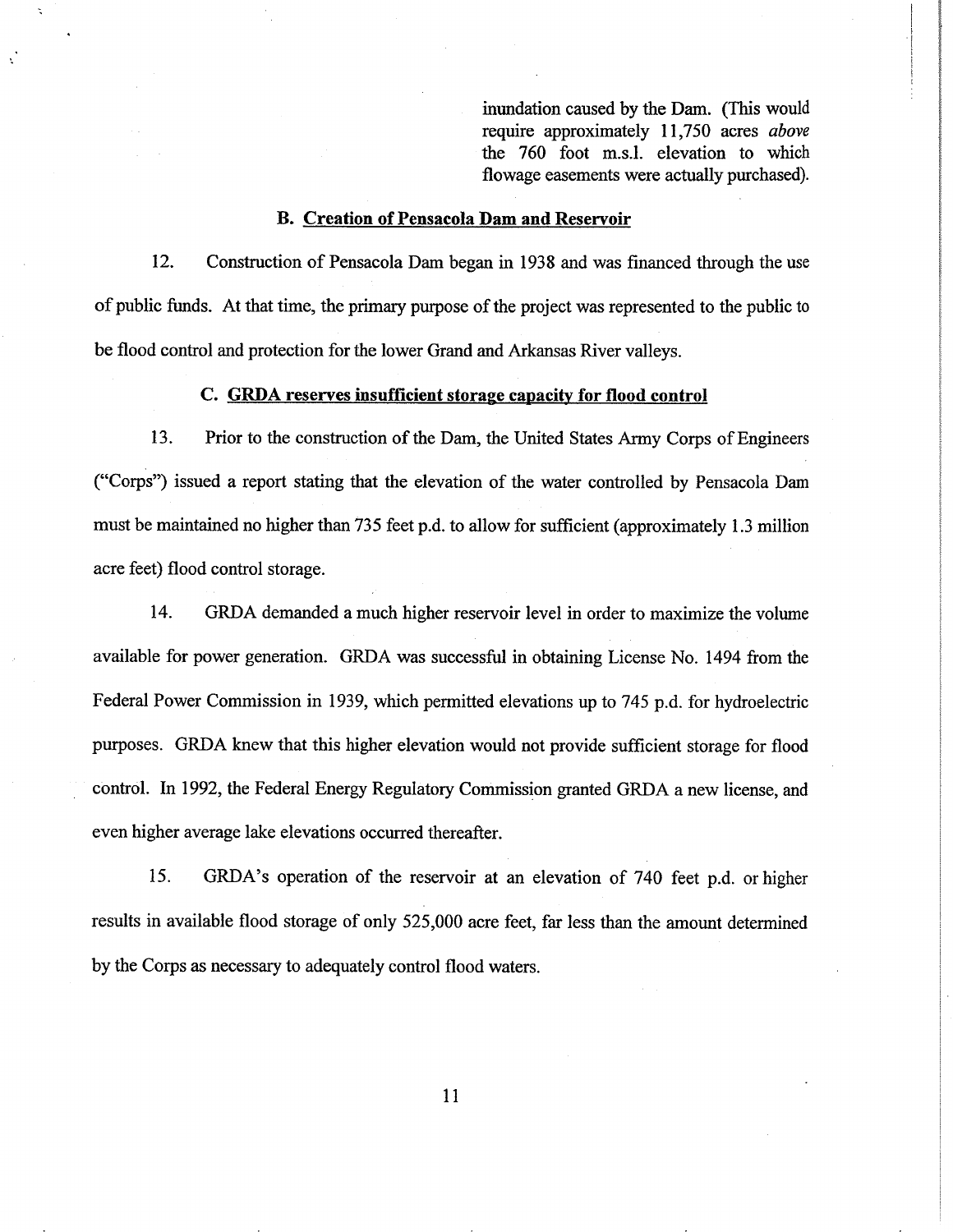inundation caused by the Dam. (This would require approximately 11,750 acres above the 760 foot m.s.l. elevation to which flowage easements were actually purchased).

### B. Creation of Pensacola Dam and Reservoir

12. Construction of Pensacola Dam began in 1938 and was financed through the use of public funds. At that time, the primary purpose of the project was represented to the public to be flood control and protection for the lower Grand and Arkansas River valleys.

## C. GRI)A reserves insufficient storage capacitv for flood control

13. Prior to the construction of the Dam, the United States Army Corps of Engineers ("Corps") issued a report stating that the elevation of the water controlled by Pensacola Dam must be maintained no higher than 735 feet p.d. to allow for suffrcient (approximately 1.3 million acre feet) flood control storage.

14. GRDA demanded a much higher reservoir level in order to maximize the volume available for power generation. GRDA was successful in obtaining License No. 1494 from the Federal Power Commission in 1939, which permitted elevations up to 745 p.d. for hydroelectric purposes. GRDA knew that this higher elevation would not provide sufficient storage for flood control. ln 1992, the Federal Energy Regulatory Commission granted GRDA a new license, and even higher average lake elevations occurred thereafter.

15. GRDA's operation of the reservoir at an elevation of 740 feet p.d. orhigher results in available flood storage of only 525,000 acre feet, far less than the amount determined by the Corps as necessary to adequately control flood waters.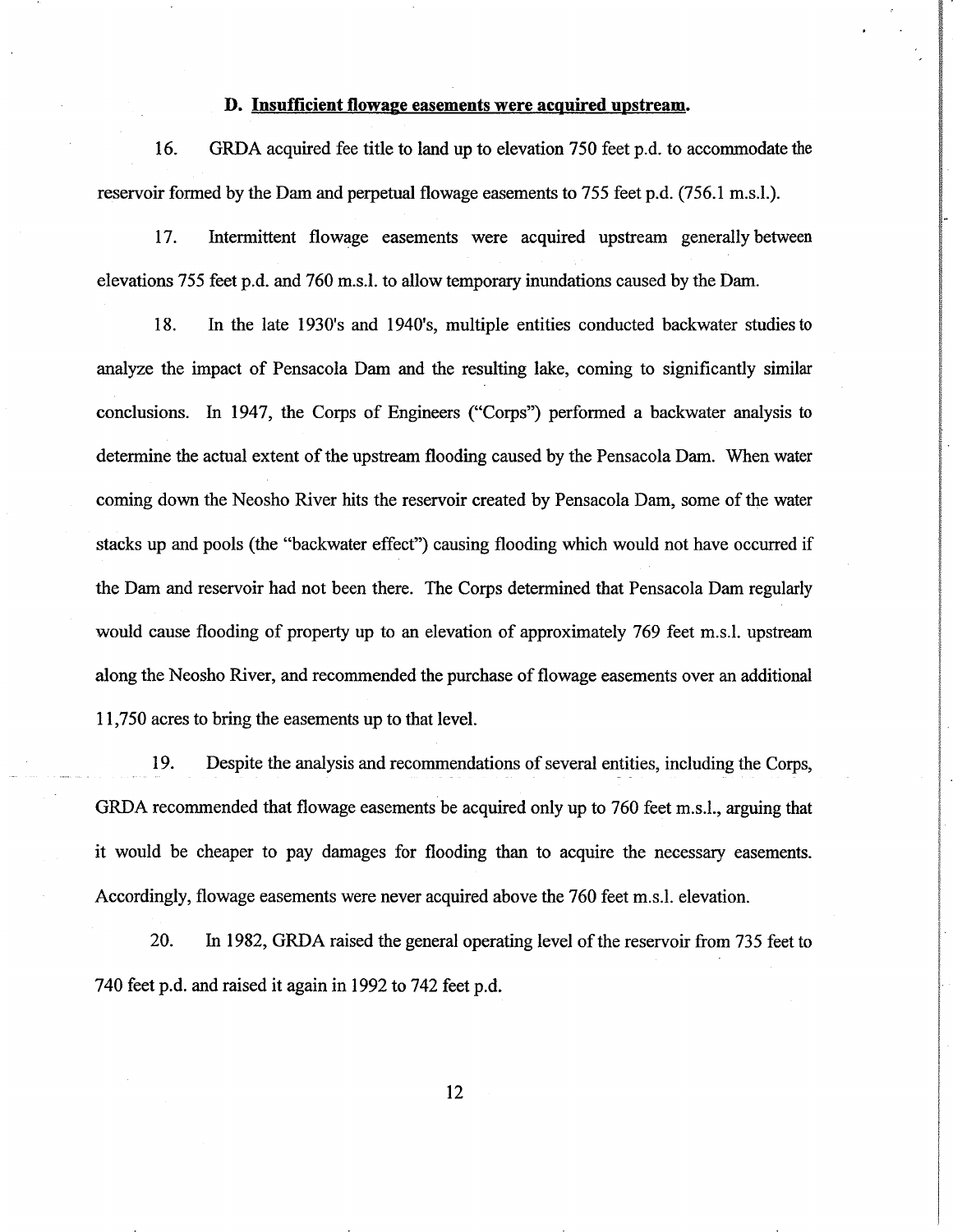## D. Insufficient flowage easements were acquired upstream.

16. GRDA acquired fee title to land up to elevation 750 feet p.d. to accommodate the reservoir formed by the Dam and perpetual flowage easements to 755 feet p.d. (756.1 m.s.l.).

17. Intermittent flowage easements were acquired upstream generally between elevations 755 feet p.d. and 760 m.s.l. to allow temporary inundations caused by the Dam.

18. In the late 1930's and 1940's, multiple entities conducted backwater studiesto analyze the impact of Pensacola Dam and the resulting lake, coming to significantly similar conclusions. ln 1947, the Corps of Engineers ("Corps") performed a backwater analysis to determine the actual extent of the upstream flooding caused by the Pensacola Dam. When water coming down the Neosho River hits the reservoir created by Pensacola Dam, some of the water stacks up and pools (the "backwater effect") causing flooding which would not have occurred if the Dam and reservoir had not been there. The Corps determined that Pensacola Dam regularly would cause flooding of property up to an elevation of approximately 769 feet m.s.l. upstream along the Neosho River, and recommended the purchase of flowage easements over an additional 11,750 acres to bring the easements up to that level.

19. Despite the analysis and recommendations of several entities, including the Corps, GRDA recommended that flowage easements be acquired only up to 760 feet m.s.l., arguing that it would be cheaper to pay damages for flooding than to acquire the necessary easements. Accordingly, flowage easements were never acquired above the 760 feet m.s.l. elevation.

20. In 1982, GRDA raised the general operating level of the reservoir from735 feet to 740 feet p.d. and raised it again in 1992 to 742 feet p.d.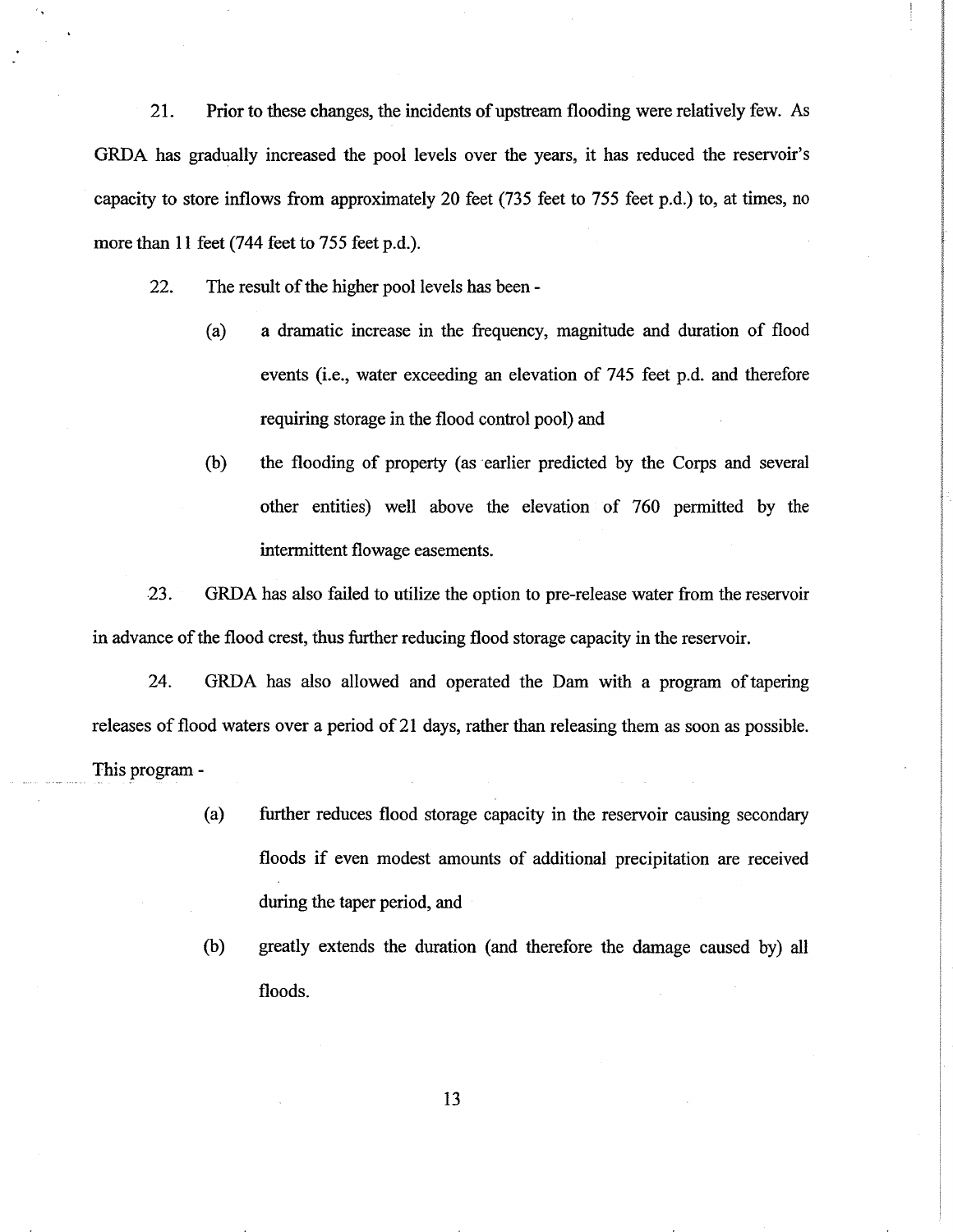21. Prior to these changes, the incidents of upsteam flooding were relatively few. As GRDA has gradually increased the pool levels over the years, it has reduced the reservoir's capacity to store inflows from approximately 20 feet  $(735 \text{ feet to } 755 \text{ feet p.d.})$  to, at times, no more than 11 feet (744 feet to  $755$  feet p.d.).

- 22. The result of the higher pool levels has been
	- (a) a dramatic increase in the frequency, magnitude and duration of flood events (i.e., water exceeding an elevation of 745 feet p.d. and therefore requiring storage in the flood control pool) and
	- (b) the flooding of property (as earlier predicted by the Corps and several other entities) well above the elevation of 760 permitted by the intermittent flowage easements.

23. GRDA has also failed to utilize the option to pre-release water from the reservoir in advance of the flood crest, thus further reducing flood storage capacity in the reservoir.

24. GRDA has also allowed and operated the Dam with a program oftapering releases of flood waters over a period of 21 days, rather than releasing them as soon as possible. This program -

- (a) further reduces flood storage capacity in the reservoir causing secondary floods if even modest amounts of additional precipitation are received during the taper period, and
- (b) greatly extends the duration (and therefore the damage caused by) all floods.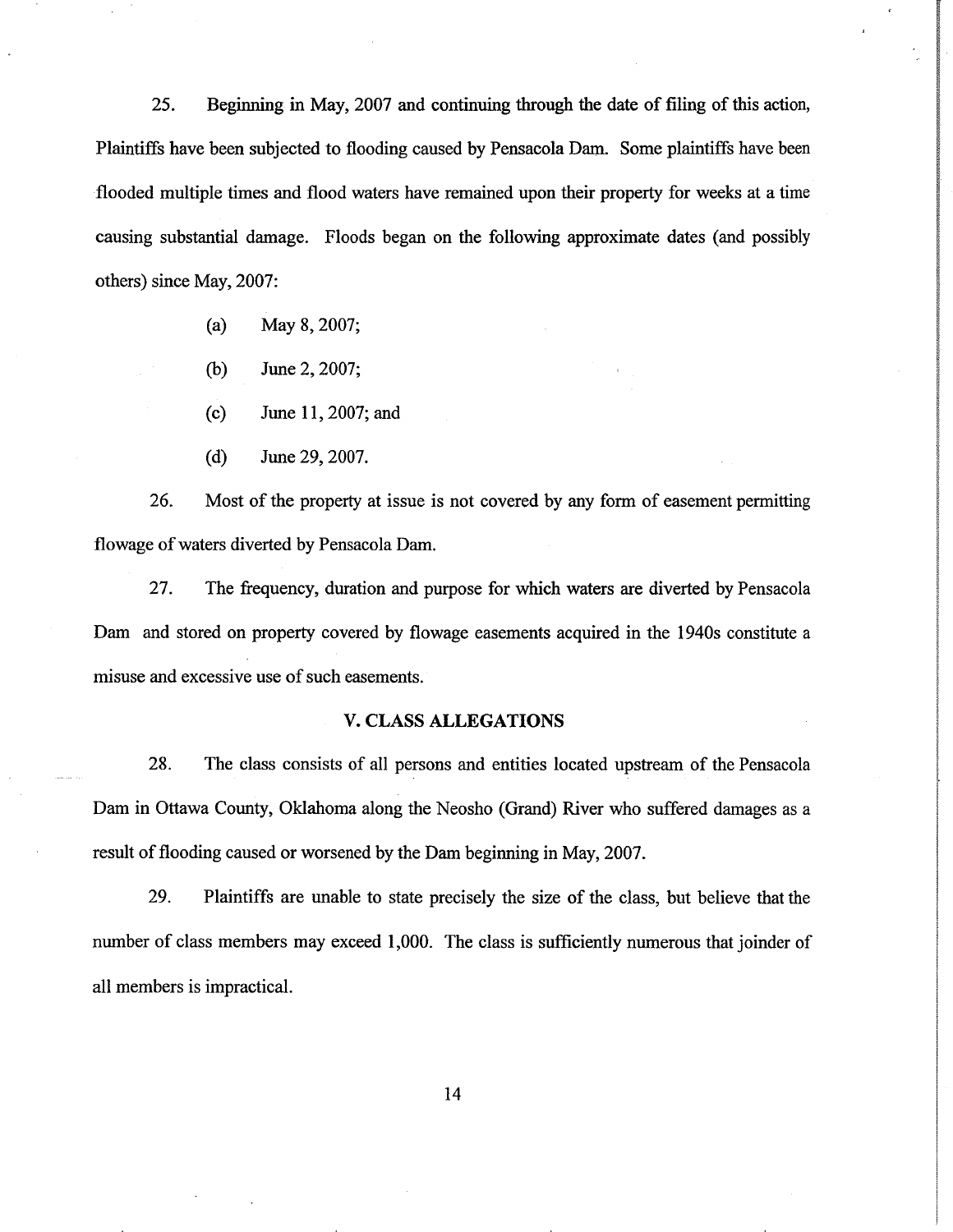25. Beginning in May, 2007 and continuing through the date of filing of this action, Plaintiffs have been subjected to flooding caused by Pensacola Dam. Some plaintiffs have been flooded multiple times and flood waters have remained upon their property for weeks at a time causing substantial damage. Floods began on the following approximate dates (and possibly others) since May, 2007:

- (a) May 8,2007;
- (b) June 2,2007;
- (c) June 11,2007;and
- (d) June29,2001.

26. Most of the property at issue is not covered by any form of easement permitting flowage of waters diverted by Pensacola Dam.

27. The frequency, duration and purpose for which waters are diverted by Pensacola Dam and stored on property covered by flowage easements acquired in the 1940s constitute a misuse and excessive use of such easements.

## V. CLASS ALLEGATIONS

28. The class consists of all persons and entities located upstream of the Pensacola Dam in Ottawa County, Oklahoma along the Neosho (Grand) River who suffered damages as a result of flooding caused or worsened by the Dam beginning in May,2007.

29. Plaintiffs are unable to state precisely the size of the class, but believe that the number of class members may exceed 1,000. The class is sufficiently numerous that joinder of all members is impractical.

t4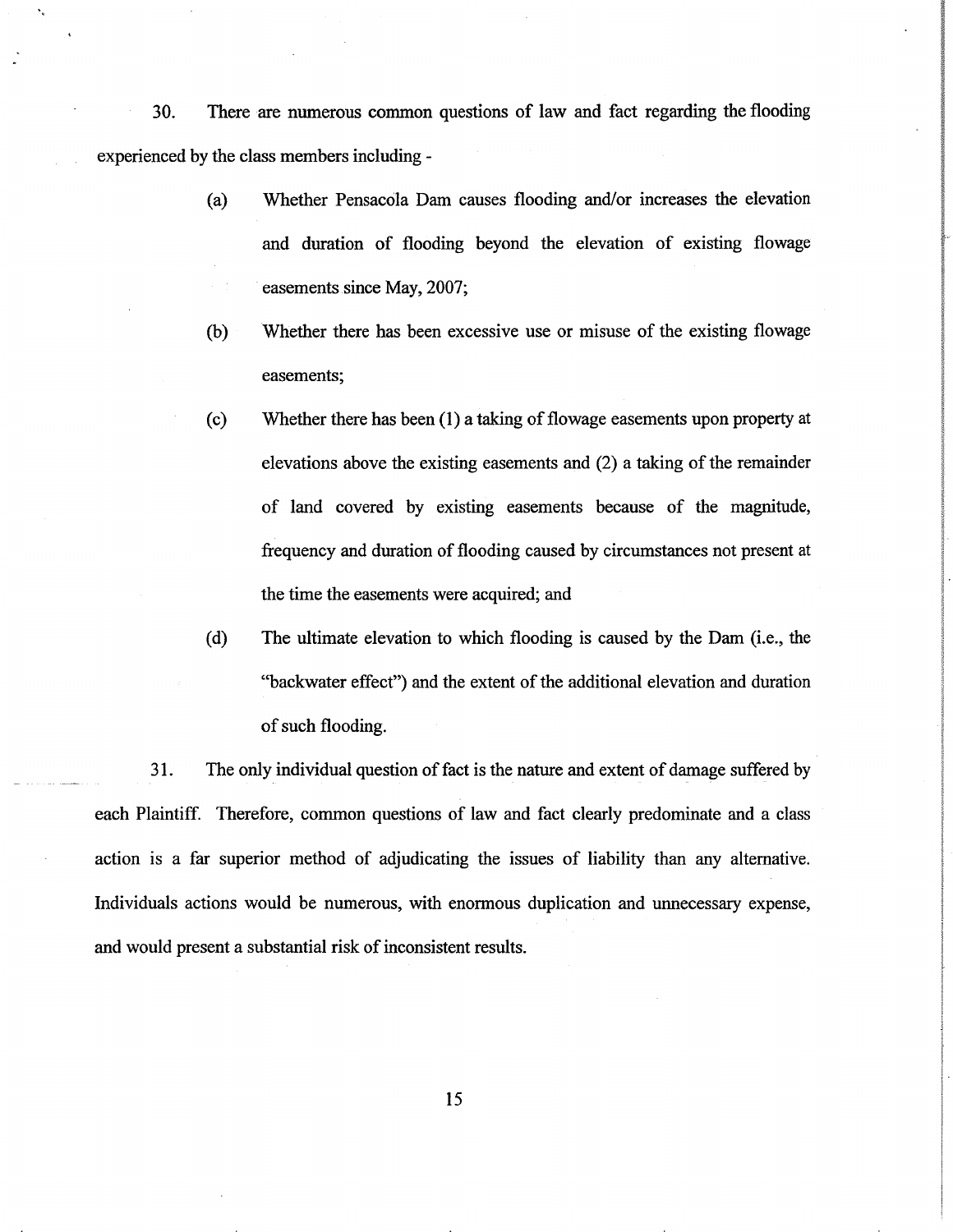30. There are numerous cornmon questions of law and fact regarding the flooding experienced by the class members including -

- (a) Whether Pensacola Dam causes flooding and/or increases the elevation and duration of flooding beyond the elevation of existing flowage easements since May, 2007;
- (b) Whether there has been excessive use or misuse of the existing flowage easements;
- (c) Whether there has been (1) a taking of flowage easements upon propeffy at elevations above the existing easements and (2) a taking of the remainder of land covered by existing easements because of the magnitude, frequency and duration of flooding caused by circumstances not present at the time the easements were acquired; and

i<br>I I i<br>S i

r I t i<br>I akokou I I I

I

(d) The ultimate elevation to which flooding is caused by the Dam (i.e., the "backwater effect") and the extent of the additional elevation and duration of such flooding.

31. The only individual question of fact is the nature and extent of damage suffered by each Plaintiff. Therefore, common questions of law and fact clearly predominate and a class action is a far superior method of adjudicating the issues of liability than any altemative. Individuals actions would be numerous, with enormous duplication and unnecessary expense, and would present a substantial risk of inconsistent results.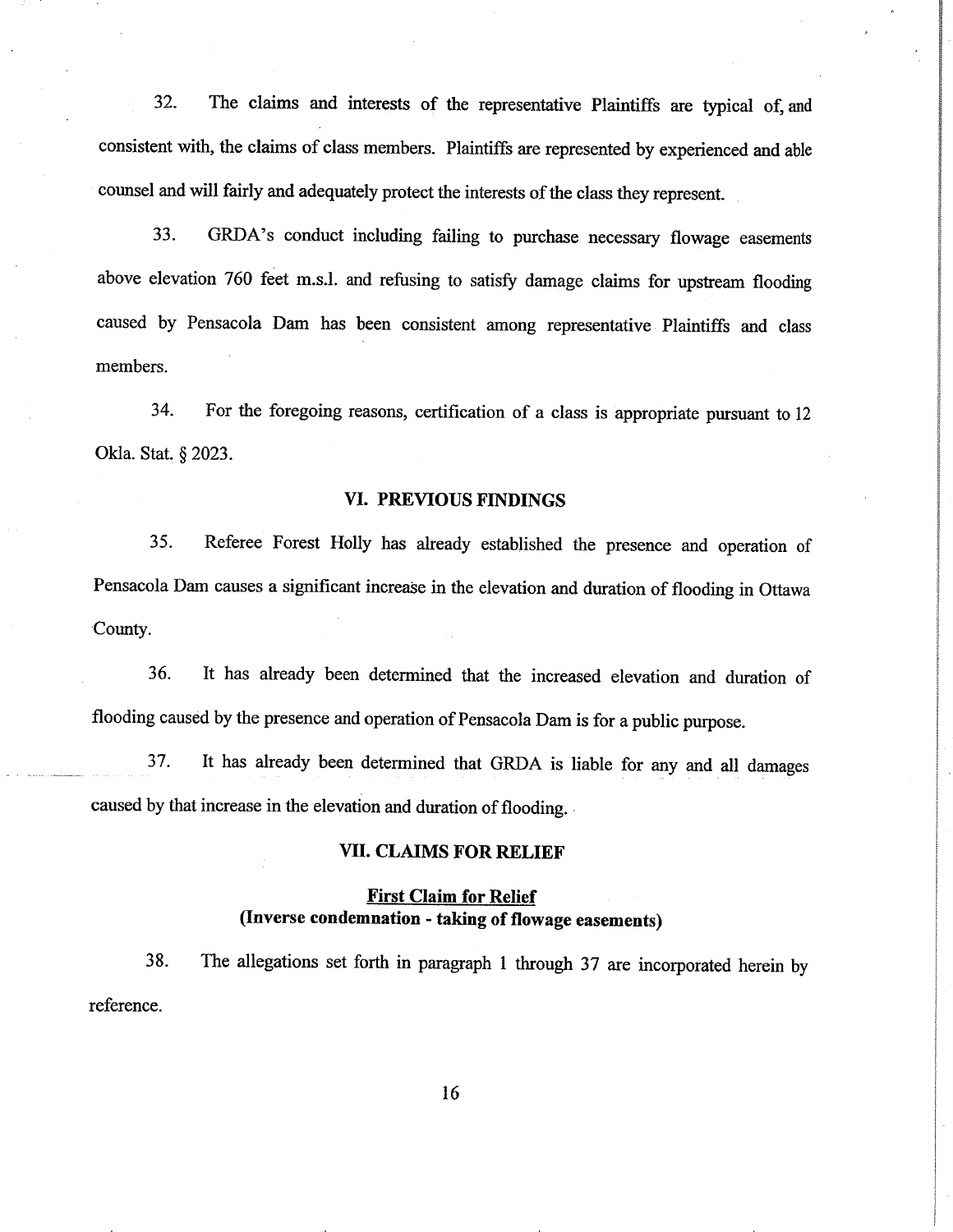32. The claims and interests of the representative Plaintiffs are typical of, and consistent with, the claims of class members. Plaintiffs are represented by experienced and able counsel and will fairly and adequately protect the interests of the class they represent.

33. GRDA's conduct including failing to purchase necessary flowage easements above elevation 760 feet m.s.l. and refusing to satisfy damage claims for upstream flooding caused by Pensacola Dam has been consistent among representative Plaintiffs and class members.

34. For the foregoing reasons, certifìcation of a class is appropriate pursuant to <sup>12</sup> Okla. Stat. § 2023.

## VI. PREVIOUS FINDINGS

35. Referee Forest Holly has already established the presence and operation of Pensacola Dam causes a significant increase in the elevation and duration of flooding in Ottawa County.

36. It has already been determined that the increased elevation and duration of flooding caused by the presence and operation of Pensacola Dam is for a public purpose.

37. It has already been determined that GRDA is liable for any and all damages caused by that increase in the elevation and duration of flooding.

#### VII. CLAIMS FOR RELIEF'

# First Claim for Relief (Inverse condemnation - taking of flowage easements)

38. The allegations set forth in paragraph I through 37 are incorporated herein by reference.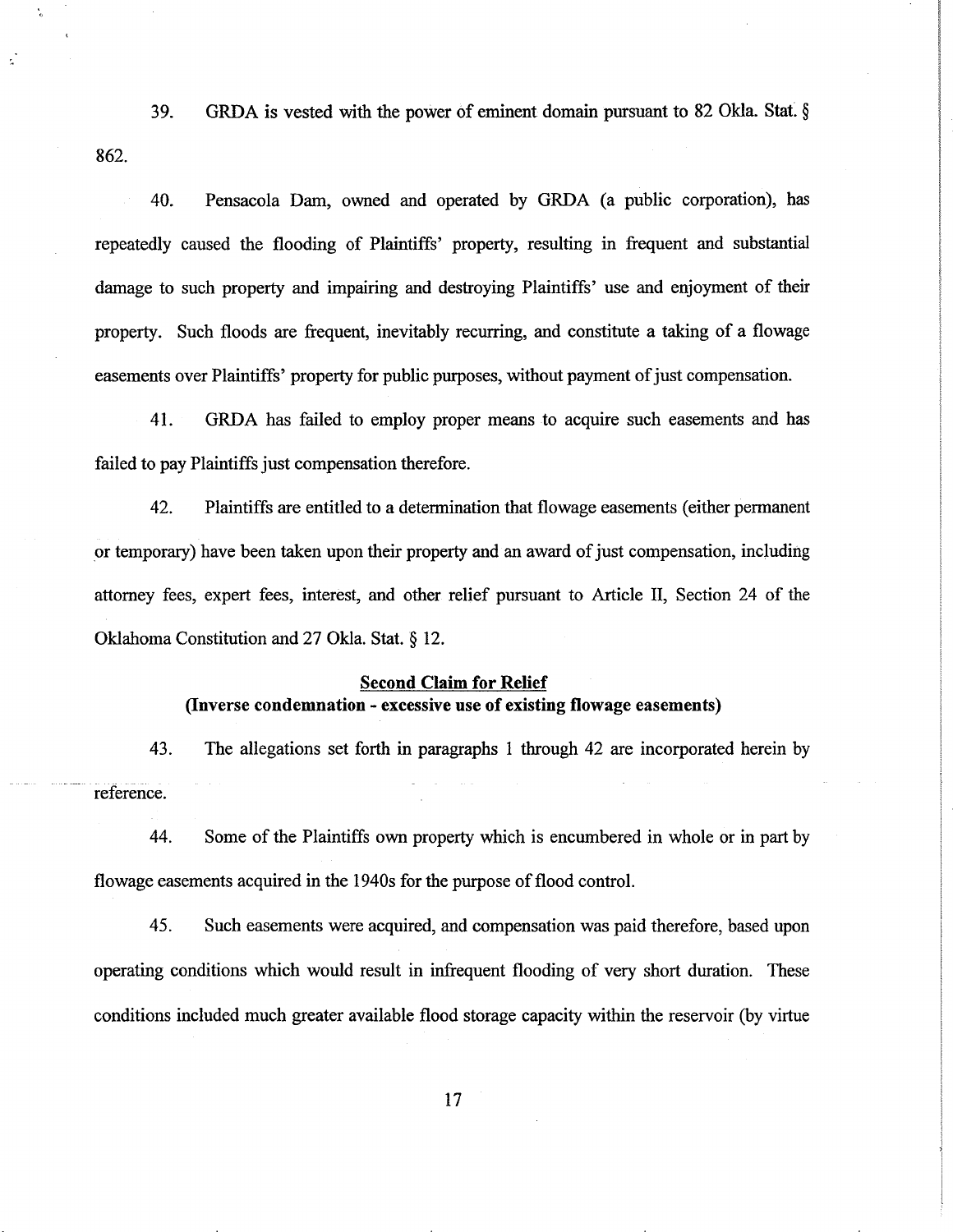GRDA is vested with the power of eminent domain pursuant to 82 Okla. Stat.  $\S$ 862. 39.

40. Pensacola Dam, owned and operated by GRDA (a public corporation), hæ repeatedly caused the flooding of Plaintiffs' property, resulting in frequent and substantial damage to such property and impairing and destroying Plaintiffs' use and enjoyment of their property. Such floods are frequent, inevitably recurring, and constitute a taking of a flowage easements over Plaintiffs' property for public purposes, without payment of just compensation.

41. GRDA has failed to employ proper means to acquire such easements and has failed to pay Plaintiffs just compensation therefore.

42. Plaintiffs are entitled to a determination that flowage easements (either permanent or temporary) have been taken upon their property and an award of just compensation, including attomey fees, expert fees, interest, and other relief pursuant to Article II, Section 24 of the Oklahoma Constitution and 27 Okla. Stat. \$ 12.

## **Second Claim for Relief** (Inverse condemnation - excessive use of existing flowage easements)

43. The allegations set forth in paragraphs I through 42 are incorporated herein by reference.

44. Some of the Plaintiffs own property which is encumbered in whole or in part by flowage easements acquired in the 1940s for the purpose of flood control.

45. Such easements were acquired, and compensation was paid therefore, based upon operating conditions which would result in infrequent flooding of very short duration. These conditions included much greater available flood storage capacity within the reservoir (by virtue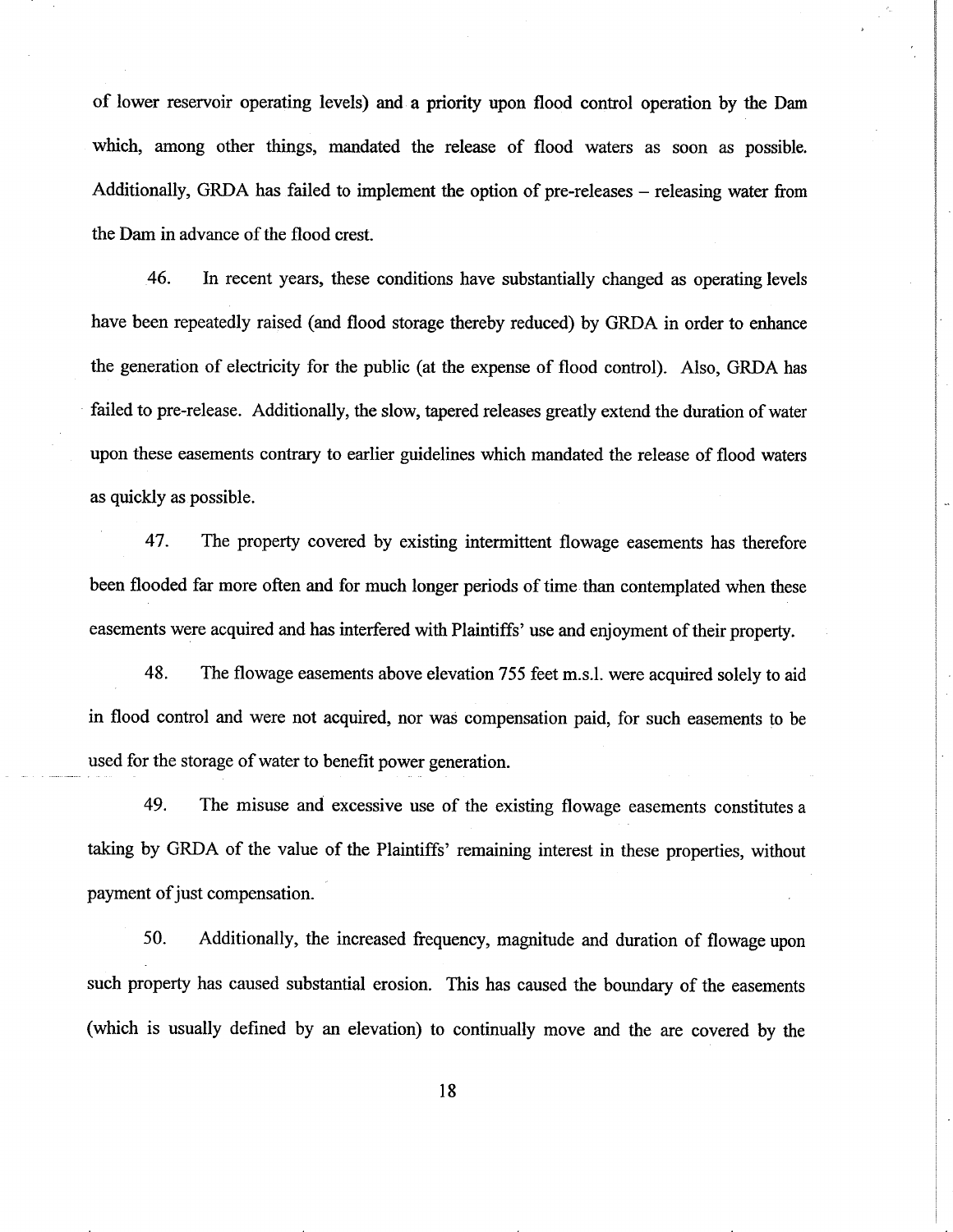of lower reservoir operating levels) and a priority upon flood contol operation by the Dam which, among other things, mandated the release of flood waters as soon as possible. Additionally, GRDA has failed to implement the option of pre-releases – releasing water from the Dam in advance of the flood crest.

46. In recent years, these conditions have substantially changed as operating levels have been repeatedly raised (and flood storage thereby reduced) by GRDA in order to enhance the generation of electricity for the public (at the expense of flood control). Also, GRDA has failed to pre-release. Additionally, the slow, tapered releases greatly extend the duration of water upon these easements contrary to earlier guidelines which mandated the release of flood waters as quickly as possible.

47. The property covered by existing intermittent flowage easements has therefore been flooded far more often and for much longer periods of time than contemplated when these easements were acquired and has interfered with Plaintiffs' use and enjoyment of their property.

48. The flowage easements above elevation 755 feet m.s.l. were acquired solely to aid in flood control and were not acquired, nor was compensation paid, for such easements to be used for the storage of water to benefit power generation.

49. The misuse and excessive use of the existing flowage easements constitutes <sup>a</sup> taking by GRDA of the value of the Plaintiffs' remaining interest in these properties, without payment of just compensation.

50. Additionally, the increased frequency, magnitude and duration of flowage upon such property has caused substantial erosion. This has caused the boundary of the easements (which is usually defined by an elevation) to continually move and the are covered by the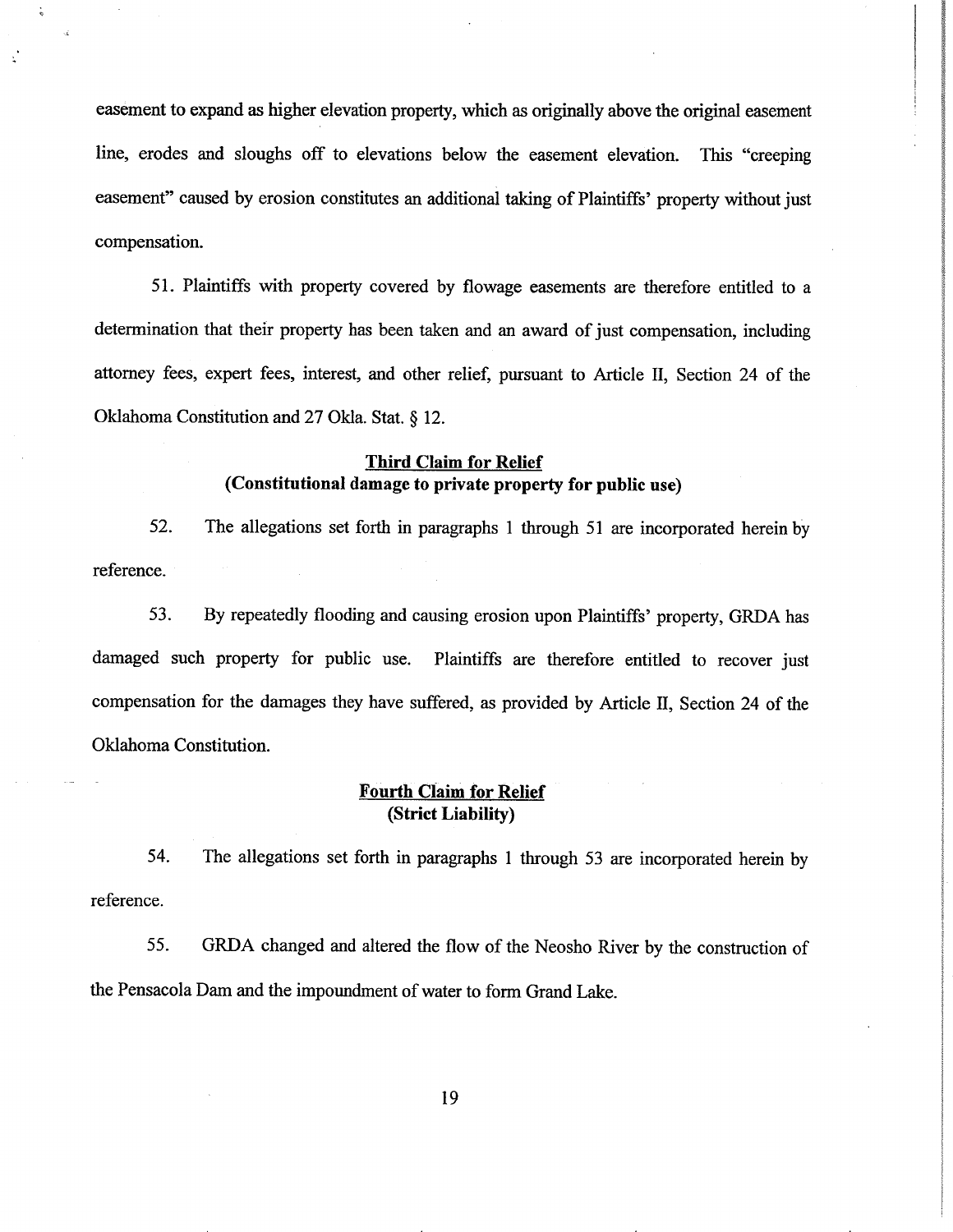easement to expand as higher elevation property, which as originally above the original easement line, erodes and sloughs off to elevations below the easement elevation. This "creeping easement" caused by erosion constitutes an additional taking of Plaintiffs' property without just compensation.

51. Plaintiffs with property covered by flowage easements are therefore entitled to <sup>a</sup> determination that their property has been taken and an award of just compensation, including attorney fees, expert fees, interest, and other relief, pursuant to Article II, Section 24 of the Oklahoma Constitution and 27 Okla. Stat.  $\S$  12.

## Third Claim for Relief (Constitutional damage to private property for public use)

52. The allegations set forth in paragraphs I through 5l are incorporated herein by reference.

53. By repeatedly flooding and causing erosion upon Plaintiffs' property, GRDA has damaged such property for public use. Plaintiffs are therefore entitled to recover just compensation for the damages they have suffered, as provided by Article II, Section 24 of the Oklahoma Constitution.

# **Fourth Claim for Relief**<br>(Strict Liability)

54. The allegations set forth in paragraphs I through 53 are incorporated herein by reference.

55. GRDA changed and altered the flow of the Neosho River by the construction of the Pensacola Dam and the impoundment of water to form Grand Lake.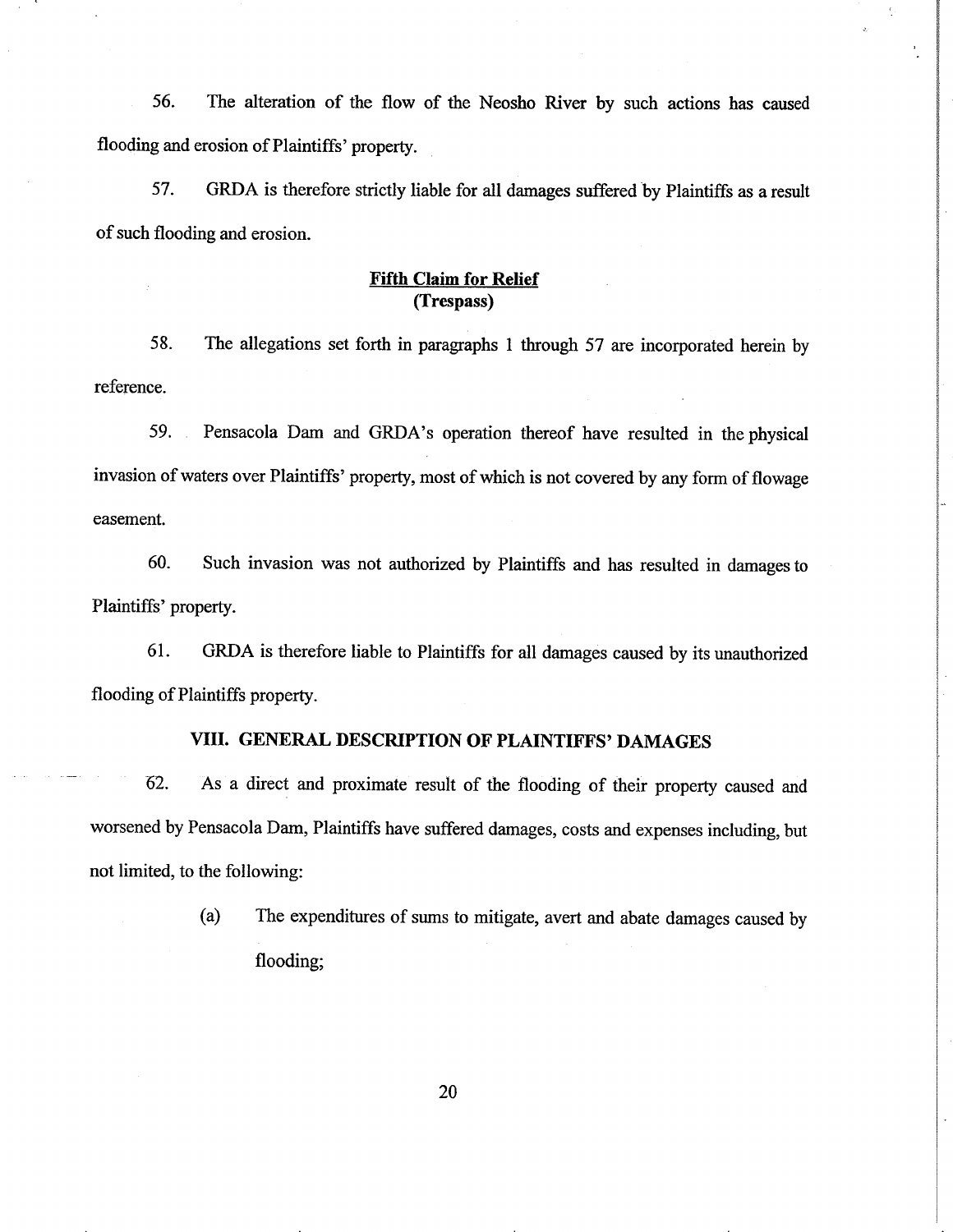56. The alteration of the flow of the Neosho River by such actions has caused flooding and erosion of Plaintiffs'property.

57. GRDA is therefore strictly liable for all damages suffered by Plaintiffs as a result of such flooding and erosion.

# Fifth Claim for Relief (Trespass)

58. The allegations set forth in paragraphs I through 57 are incorporated herein by reference.

59. Pensacola Dam and GRDA's operation thereof have resulted in the physical invasion of waters over Plaintiffs'property, most of which is not covered by any form of flowage easement.

60. Such invasion was not authorized by Plaintiffs and has resulted in damages to Plaintiffs' property.

61. GRDA is therefore liable to Plaintiffs for all damages caused by its unauthorized flooding of Plaintiffs property.

## VIII. GENERAL DESCRIPTION OF PLAINTIFFS' DAMAGES

62- As a direct and proximate result of the flooding of their property caused and worsened by Pensacola Dam, Plaintiffs have suffered damages, costs and expenses including, but not limited, to the following:

> (a) The expenditures of sums to mitigate, avert and abate damages caused by flooding;